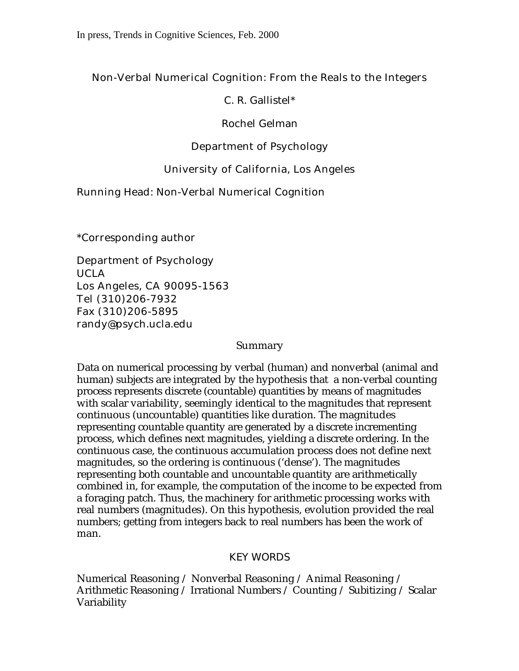## Non-Verbal Numerical Cognition: From the Reals to the Integers

C. R. Gallistel\*

Rochel Gelman

## Department of Psychology

# University of California, Los Angeles

Running Head: Non-Verbal Numerical Cognition

\*Corresponding author

Department of Psychology UCLA Los Angeles, CA 90095-1563 Tel (310)206-7932 Fax (310)206-5895 randy@psych.ucla.edu

#### Summary

Data on numerical processing by verbal (human) and nonverbal (animal and human) subjects are integrated by the hypothesis that a non-verbal counting process represents discrete (countable) quantities by means of magnitudes with scalar variability, seemingly identical to the magnitudes that represent continuous (uncountable) quantities like duration. The magnitudes representing countable quantity are generated by a discrete incrementing process, which defines next magnitudes, yielding a discrete ordering. In the continuous case, the continuous accumulation process does not define next magnitudes, so the ordering is continuous ('dense'). The magnitudes representing both countable and uncountable quantity are arithmetically combined in, for example, the computation of the income to be expected from a foraging patch. Thus, the machinery for arithmetic processing works with real numbers (magnitudes). On this hypothesis, evolution provided the real numbers; getting from integers back to real numbers has been the work of man.

#### KEY WORDS

Numerical Reasoning / Nonverbal Reasoning / Animal Reasoning / Arithmetic Reasoning / Irrational Numbers / Counting / Subitizing / Scalar Variability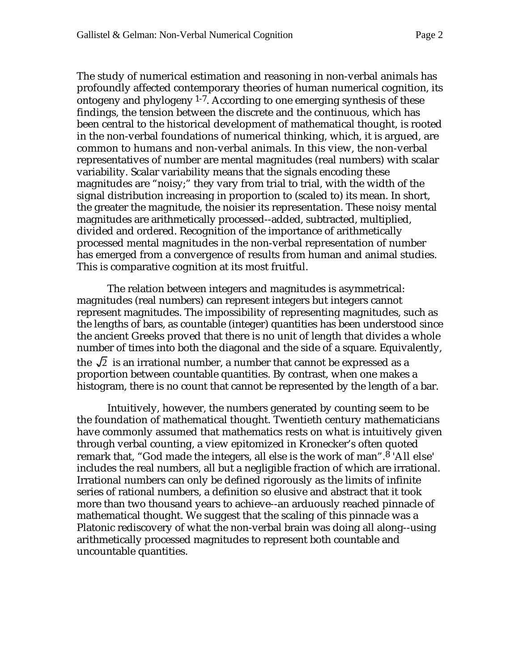The study of numerical estimation and reasoning in non-verbal animals has profoundly affected contemporary theories of human numerical cognition, its ontogeny and phylogeny 1-7. According to one emerging synthesis of these findings, the tension between the discrete and the continuous, which has been central to the historical development of mathematical thought, is rooted in the non-verbal foundations of numerical thinking, which, it is argued, are common to humans and non-verbal animals. In this view, the non-verbal representatives of number are mental magnitudes (real numbers) with scalar variability. Scalar variability means that the signals encoding these magnitudes are "noisy;" they vary from trial to trial, with the width of the signal distribution increasing in proportion to (scaled to) its mean. In short, the greater the magnitude, the noisier its representation. These noisy mental magnitudes are arithmetically processed--added, subtracted, multiplied, divided and ordered. Recognition of the importance of arithmetically processed mental magnitudes in the non-verbal representation of number has emerged from a convergence of results from human and animal studies. This is comparative cognition at its most fruitful.

The relation between integers and magnitudes is asymmetrical: magnitudes (real numbers) can represent integers but integers cannot represent magnitudes. The impossibility of representing magnitudes, such as the lengths of bars, as countable (integer) quantities has been understood since the ancient Greeks proved that there is no unit of length that divides a whole number of times into both the diagonal and the side of a square. Equivalently, the  $\sqrt{2}$  is an irrational number, a number that cannot be expressed as a proportion between countable quantities. By contrast, when one makes a histogram, there is no count that cannot be represented by the length of a bar.

Intuitively, however, the numbers generated by counting seem to be the foundation of mathematical thought. Twentieth century mathematicians have commonly assumed that mathematics rests on what is intuitively given through verbal counting, a view epitomized in Kronecker's often quoted remark that, "God made the integers, all else is the work of man".8 'All else' includes the real numbers, all but a negligible fraction of which are irrational. Irrational numbers can only be defined rigorously as the limits of infinite series of rational numbers, a definition so elusive and abstract that it took more than two thousand years to achieve--an arduously reached pinnacle of mathematical thought. We suggest that the scaling of this pinnacle was a Platonic rediscovery of what the non-verbal brain was doing all along--using arithmetically processed magnitudes to represent both countable and uncountable quantities.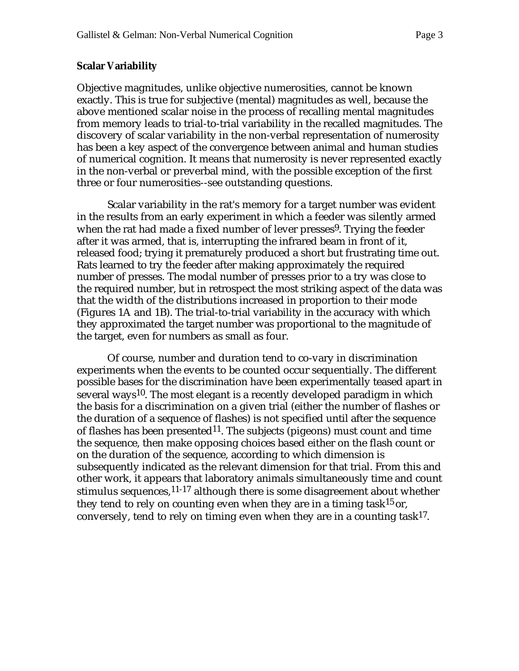#### **Scalar Variability**

Objective magnitudes, unlike objective numerosities, cannot be known exactly. This is true for subjective (mental) magnitudes as well, because the above mentioned scalar noise in the process of recalling mental magnitudes from memory leads to trial-to-trial variability in the recalled magnitudes. The discovery of scalar variability in the non-verbal representation of numerosity has been a key aspect of the convergence between animal and human studies of numerical cognition. It means that numerosity is never represented exactly in the non-verbal or preverbal mind, with the possible exception of the first three or four numerosities--see outstanding questions.

Scalar variability in the rat's memory for a target number was evident in the results from an early experiment in which a feeder was silently armed when the rat had made a fixed number of lever presses<sup>9</sup>. Trying the feeder after it was armed, that is, interrupting the infrared beam in front of it, released food; trying it prematurely produced a short but frustrating time out. Rats learned to try the feeder after making approximately the required number of presses. The modal number of presses prior to a try was close to the required number, but in retrospect the most striking aspect of the data was that the width of the distributions increased in proportion to their mode (Figures 1A and 1B). The trial-to-trial variability in the accuracy with which they approximated the target number was proportional to the magnitude of the target, even for numbers as small as four.

Of course, number and duration tend to co-vary in discrimination experiments when the events to be counted occur sequentially. The different possible bases for the discrimination have been experimentally teased apart in several ways<sup>10</sup>. The most elegant is a recently developed paradigm in which the basis for a discrimination on a given trial (either the number of flashes or the duration of a sequence of flashes) is not specified until after the sequence of flashes has been presented<sup>11</sup>. The subjects (pigeons) must count and time the sequence, then make opposing choices based either on the flash count or on the duration of the sequence, according to which dimension is subsequently indicated as the relevant dimension for that trial. From this and other work, it appears that laboratory animals simultaneously time and count stimulus sequences,  $11-17$  although there is some disagreement about whether they tend to rely on counting even when they are in a timing task<sup>15</sup> or, conversely, tend to rely on timing even when they are in a counting task  $17$ .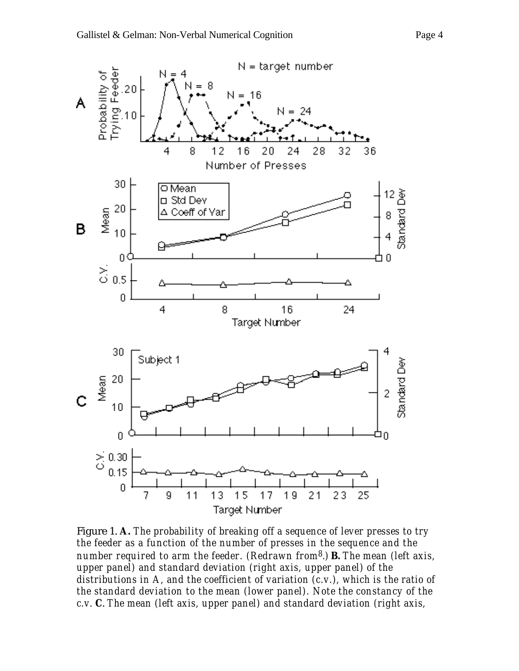

Figure 1. **A.** *The probability of breaking off a sequence of lever presses to try the feeder as a function of the number of presses in the sequence and the number required to arm the feeder. (Redrawn from8.)* **B.** *The mean (left axis, upper panel) and standard deviation (right axis, upper panel) of the distributions in A, and the coefficient of variation (c.v.), which is the ratio of the standard deviation to the mean (lower panel). Note the constancy of the c.v.* **C**. *The mean (left axis, upper panel) and standard deviation (right axis,*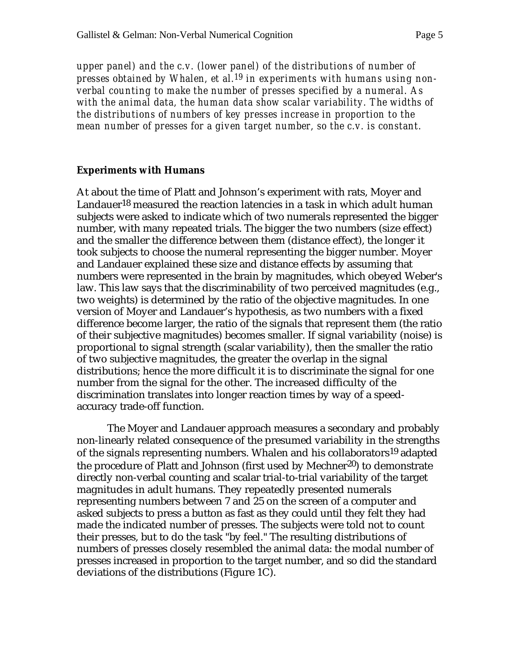*upper panel) and the c.v. (lower panel) of the distributions of number of presses obtained by Whalen, et al.19 in experiments with humans using nonverbal counting to make the number of presses specified by a numeral. As with the animal data, the human data show scalar variability. The widths of the distributions of numbers of key presses increase in proportion to the mean number of presses for a given target number, so the c.v. is constant.*

#### **Experiments with Humans**

At about the time of Platt and Johnson's experiment with rats, Moyer and Landauer<sup>18</sup> measured the reaction latencies in a task in which adult human subjects were asked to indicate which of two numerals represented the bigger number, with many repeated trials. The bigger the two numbers (size effect) and the smaller the difference between them (distance effect), the longer it took subjects to choose the numeral representing the bigger number. Moyer and Landauer explained these size and distance effects by assuming that numbers were represented in the brain by magnitudes, which obeyed Weber's law. This law says that the discriminability of two perceived magnitudes (e.g., two weights) is determined by the ratio of the objective magnitudes. In one version of Moyer and Landauer's hypothesis, as two numbers with a fixed difference become larger, the ratio of the signals that represent them (the ratio of their subjective magnitudes) becomes smaller. If signal variability (noise) is proportional to signal strength (scalar variability), then the smaller the ratio of two subjective magnitudes, the greater the overlap in the signal distributions; hence the more difficult it is to discriminate the signal for one number from the signal for the other. The increased difficulty of the discrimination translates into longer reaction times by way of a speedaccuracy trade-off function.

The Moyer and Landauer approach measures a secondary and probably non-linearly related consequence of the presumed variability in the strengths of the signals representing numbers. Whalen and his collaborators<sup>19</sup> adapted the procedure of Platt and Johnson (first used by Mechner<sup>20</sup>) to demonstrate directly non-verbal counting and scalar trial-to-trial variability of the target magnitudes in adult humans. They repeatedly presented numerals representing numbers between 7 and 25 on the screen of a computer and asked subjects to press a button as fast as they could until they felt they had made the indicated number of presses. The subjects were told not to count their presses, but to do the task "by feel." The resulting distributions of numbers of presses closely resembled the animal data: the modal number of presses increased in proportion to the target number, and so did the standard deviations of the distributions (Figure 1C).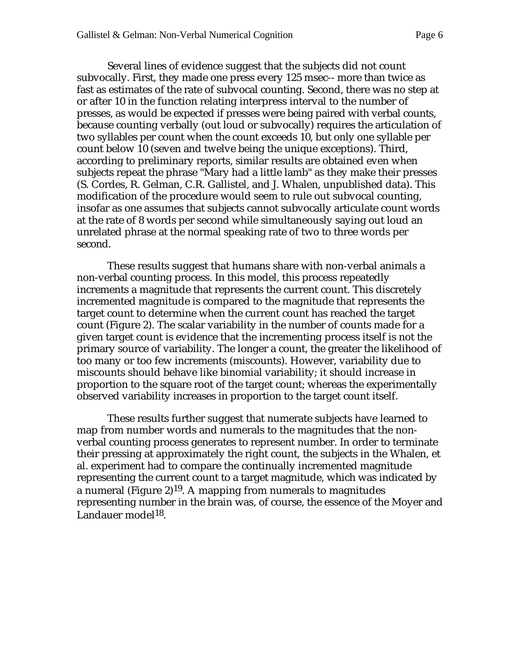Several lines of evidence suggest that the subjects did not count subvocally. First, they made one press every 125 msec-- more than twice as fast as estimates of the rate of subvocal counting. Second, there was no step at or after 10 in the function relating interpress interval to the number of presses, as would be expected if presses were being paired with verbal counts, because counting verbally (out loud or subvocally) requires the articulation of two syllables per count when the count exceeds 10, but only one syllable per count below 10 (seven and twelve being the unique exceptions). Third, according to preliminary reports, similar results are obtained even when subjects repeat the phrase "Mary had a little lamb" as they make their presses (S. Cordes, R. Gelman, C.R. Gallistel, and J. Whalen, unpublished data). This modification of the procedure would seem to rule out subvocal counting, insofar as one assumes that subjects cannot subvocally articulate count words at the rate of 8 words per second while simultaneously saying out loud an unrelated phrase at the normal speaking rate of two to three words per second.

These results suggest that humans share with non-verbal animals a non-verbal counting process. In this model, this process repeatedly increments a magnitude that represents the current count. This discretely incremented magnitude is compared to the magnitude that represents the target count to determine when the current count has reached the target count (Figure 2). The scalar variability in the number of counts made for a given target count is evidence that the incrementing process itself is not the primary source of variability. The longer a count, the greater the likelihood of too many or too few increments (miscounts). However, variability due to miscounts should behave like binomial variability; it should increase in proportion to the square root of the target count; whereas the experimentally observed variability increases in proportion to the target count itself.

These results further suggest that numerate subjects have learned to map from number words and numerals to the magnitudes that the nonverbal counting process generates to represent number. In order to terminate their pressing at approximately the right count, the subjects in the Whalen, et al. experiment had to compare the continually incremented magnitude representing the current count to a target magnitude, which was indicated by a numeral (Figure  $2^{19}$ . A mapping from numerals to magnitudes representing number in the brain was, of course, the essence of the Moyer and Landauer model18.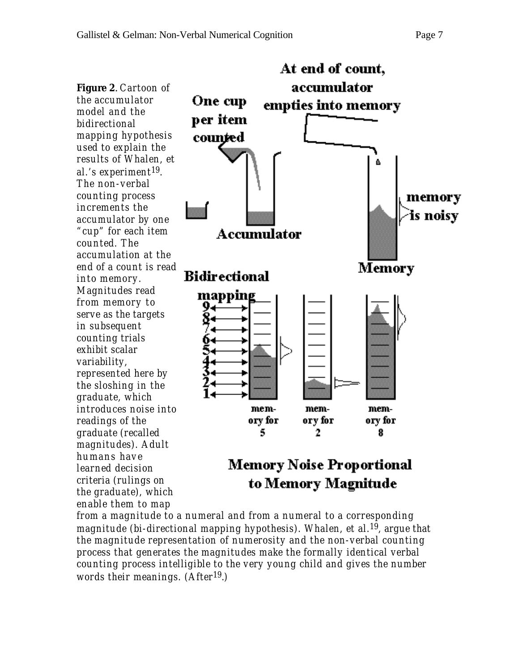**Figure 2**. *Cartoon of the accumulator model and the bidirectional mapping hypothesis used to explain the results of Whalen, et al.'s experiment19. The non-verbal counting process increments the accumulator by one "cup" for each item counted. The accumulation at the end of a count is read into memory. Magnitudes read from memory to serve as the targets in subsequent counting trials exhibit scalar variability, represented here by the sloshing in the graduate, which introduces noise into readings of the graduate (recalled magnitudes). Adult humans have learned decision criteria (rulings on the graduate), which enable them to map*



# **Memory Noise Proportional** to Memory Magnitude

*from a magnitude to a numeral and from a numeral to a corresponding magnitude (bi-directional mapping hypothesis). Whalen, et al.19, argue that the magnitude representation of numerosity and the non-verbal counting process that generates the magnitudes make the formally identical verbal counting process intelligible to the very young child and gives the number words their meanings. (After19.)*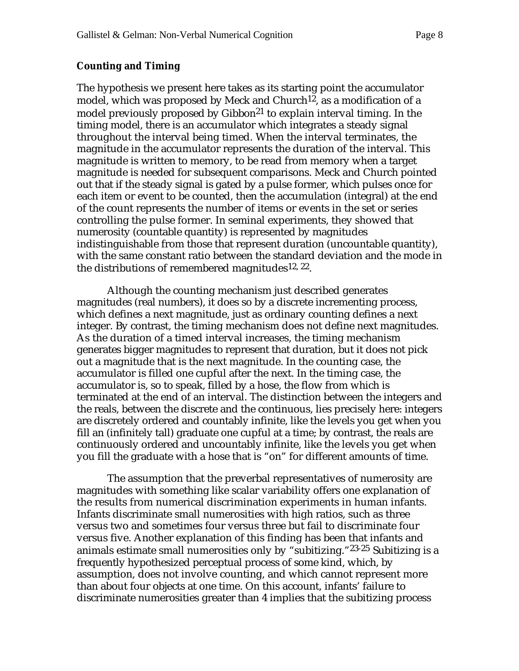### **Counting and Timing**

The hypothesis we present here takes as its starting point the accumulator model, which was proposed by Meck and Church<sup>12</sup>, as a modification of a model previously proposed by Gibbon<sup>21</sup> to explain interval timing. In the timing model, there is an accumulator which integrates a steady signal throughout the interval being timed. When the interval terminates, the magnitude in the accumulator represents the duration of the interval. This magnitude is written to memory, to be read from memory when a target magnitude is needed for subsequent comparisons. Meck and Church pointed out that if the steady signal is gated by a pulse former, which pulses once for each item or event to be counted, then the accumulation (integral) at the end of the count represents the number of items or events in the set or series controlling the pulse former. In seminal experiments, they showed that numerosity (countable quantity) is represented by magnitudes indistinguishable from those that represent duration (uncountable quantity), with the same constant ratio between the standard deviation and the mode in the distributions of remembered magnitudes12, 22.

Although the counting mechanism just described generates magnitudes (real numbers), it does so by a discrete incrementing process, which defines a next magnitude, just as ordinary counting defines a next integer. By contrast, the timing mechanism does not define next magnitudes. As the duration of a timed interval increases, the timing mechanism generates bigger magnitudes to represent that duration, but it does not pick out a magnitude that is the next magnitude. In the counting case, the accumulator is filled one cupful after the next. In the timing case, the accumulator is, so to speak, filled by a hose, the flow from which is terminated at the end of an interval. The distinction between the integers and the reals, between the discrete and the continuous, lies precisely here: integers are discretely ordered and countably infinite, like the levels you get when you fill an (infinitely tall) graduate one cupful at a time; by contrast, the reals are continuously ordered and uncountably infinite, like the levels you get when you fill the graduate with a hose that is "on" for different amounts of time.

The assumption that the preverbal representatives of numerosity are magnitudes with something like scalar variability offers one explanation of the results from numerical discrimination experiments in human infants. Infants discriminate small numerosities with high ratios, such as three versus two and sometimes four versus three but fail to discriminate four versus five. Another explanation of this finding has been that infants and animals estimate small numerosities only by "subitizing."23-25 Subitizing is a frequently hypothesized perceptual process of some kind, which, by assumption, does not involve counting, and which cannot represent more than about four objects at one time. On this account, infants' failure to discriminate numerosities greater than 4 implies that the subitizing process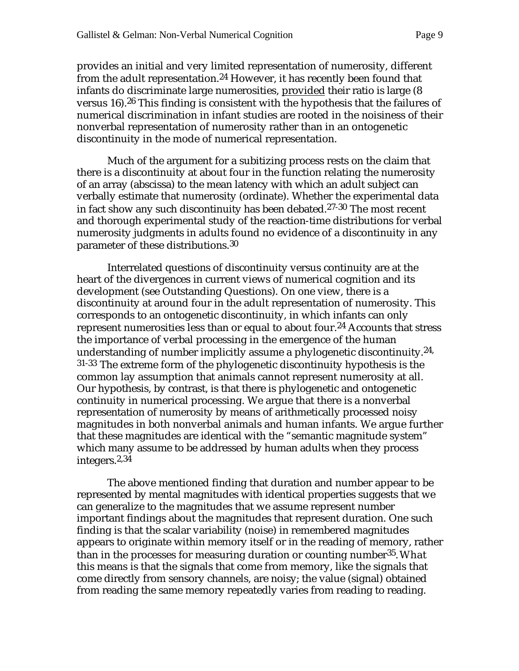provides an initial and very limited representation of numerosity, different from the adult representation.24 However, it has recently been found that infants do discriminate large numerosities, provided their ratio is large (8 versus 16).26 This finding is consistent with the hypothesis that the failures of numerical discrimination in infant studies are rooted in the noisiness of their nonverbal representation of numerosity rather than in an ontogenetic discontinuity in the mode of numerical representation.

Much of the argument for a subitizing process rests on the claim that there is a discontinuity at about four in the function relating the numerosity of an array (abscissa) to the mean latency with which an adult subject can verbally estimate that numerosity (ordinate). Whether the experimental data in fact show any such discontinuity has been debated.27-30 The most recent and thorough experimental study of the reaction-time distributions for verbal numerosity judgments in adults found no evidence of a discontinuity in any parameter of these distributions.30

Interrelated questions of discontinuity versus continuity are at the heart of the divergences in current views of numerical cognition and its development (see Outstanding Questions). On one view, there is a discontinuity at around four in the adult representation of numerosity. This corresponds to an ontogenetic discontinuity, in which infants can only represent numerosities less than or equal to about four.<sup>24</sup> Accounts that stress the importance of verbal processing in the emergence of the human understanding of number implicitly assume a phylogenetic discontinuity.24, 31-33 The extreme form of the phylogenetic discontinuity hypothesis is the common lay assumption that animals cannot represent numerosity at all. Our hypothesis, by contrast, is that there is phylogenetic and ontogenetic continuity in numerical processing. We argue that there is a nonverbal representation of numerosity by means of arithmetically processed noisy magnitudes in both nonverbal animals and human infants. We argue further that these magnitudes are identical with the "semantic magnitude system" which many assume to be addressed by human adults when they process integers.2,34

The above mentioned finding that duration and number appear to be represented by mental magnitudes with identical properties suggests that we can generalize to the magnitudes that we assume represent number important findings about the magnitudes that represent duration. One such finding is that the scalar variability (noise) in remembered magnitudes appears to originate within memory itself or in the reading of memory, rather than in the processes for measuring duration or counting number<sup>35</sup>. What this means is that the signals that come from memory, like the signals that come directly from sensory channels, are noisy; the value (signal) obtained from reading the same memory repeatedly varies from reading to reading.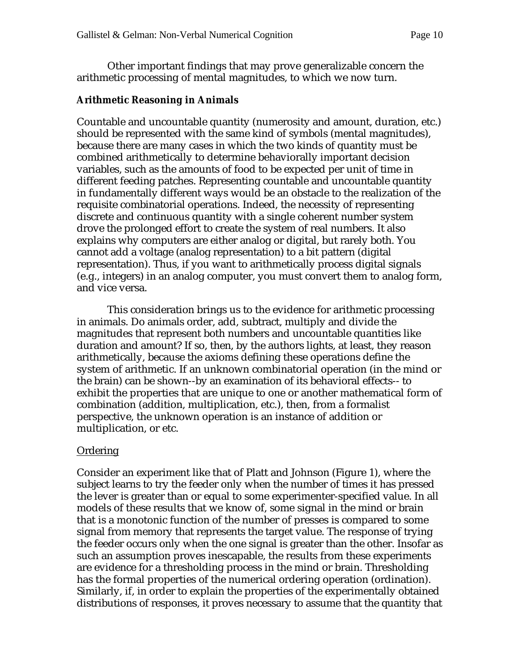Other important findings that may prove generalizable concern the arithmetic processing of mental magnitudes, to which we now turn.

#### **Arithmetic Reasoning in Animals**

Countable and uncountable quantity (numerosity and amount, duration, etc.) should be represented with the same kind of symbols (mental magnitudes), because there are many cases in which the two kinds of quantity must be combined arithmetically to determine behaviorally important decision variables, such as the amounts of food to be expected per unit of time in different feeding patches. Representing countable and uncountable quantity in fundamentally different ways would be an obstacle to the realization of the requisite combinatorial operations. Indeed, the necessity of representing discrete and continuous quantity with a single coherent number system drove the prolonged effort to create the system of real numbers. It also explains why computers are either analog or digital, but rarely both. You cannot add a voltage (analog representation) to a bit pattern (digital representation). Thus, if you want to arithmetically process digital signals (e.g., integers) in an analog computer, you must convert them to analog form, and vice versa.

This consideration brings us to the evidence for arithmetic processing in animals. Do animals order, add, subtract, multiply and divide the magnitudes that represent both numbers and uncountable quantities like duration and amount? If so, then, by the authors lights, at least, they reason arithmetically, because the axioms defining these operations define the system of arithmetic. If an unknown combinatorial operation (in the mind or the brain) can be shown--by an examination of its behavioral effects-- to exhibit the properties that are unique to one or another mathematical form of combination (addition, multiplication, etc.), then, from a formalist perspective, the unknown operation is an instance of addition or multiplication, or etc.

#### Ordering

Consider an experiment like that of Platt and Johnson (Figure 1), where the subject learns to try the feeder only when the number of times it has pressed the lever is greater than or equal to some experimenter-specified value. In all models of these results that we know of, some signal in the mind or brain that is a monotonic function of the number of presses is compared to some signal from memory that represents the target value. The response of trying the feeder occurs only when the one signal is greater than the other. Insofar as such an assumption proves inescapable, the results from these experiments are evidence for a thresholding process in the mind or brain. Thresholding has the formal properties of the numerical ordering operation (ordination). Similarly, if, in order to explain the properties of the experimentally obtained distributions of responses, it proves necessary to assume that the quantity that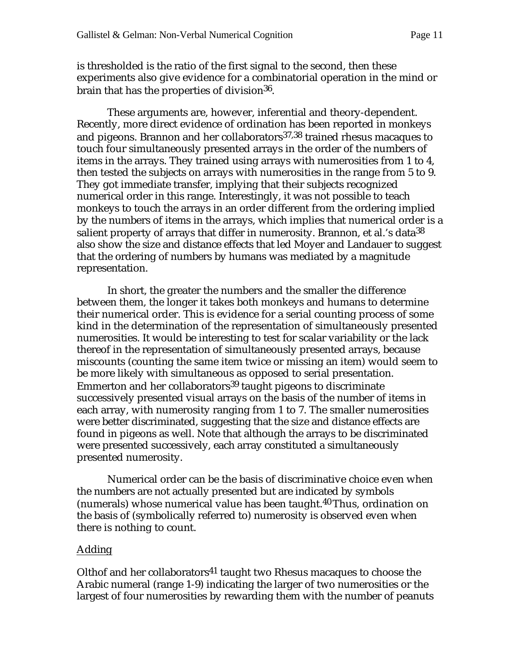is thresholded is the ratio of the first signal to the second, then these experiments also give evidence for a combinatorial operation in the mind or brain that has the properties of division36.

These arguments are, however, inferential and theory-dependent. Recently, more direct evidence of ordination has been reported in monkeys and pigeons. Brannon and her collaborators<sup>37,38</sup> trained rhesus macaques to touch four simultaneously presented arrays in the order of the numbers of items in the arrays. They trained using arrays with numerosities from 1 to 4, then tested the subjects on arrays with numerosities in the range from 5 to 9. They got immediate transfer, implying that their subjects recognized numerical order in this range. Interestingly, it was not possible to teach monkeys to touch the arrays in an order different from the ordering implied by the numbers of items in the arrays, which implies that numerical order is a salient property of arrays that differ in numerosity. Brannon, et al.'s data<sup>38</sup> also show the size and distance effects that led Moyer and Landauer to suggest that the ordering of numbers by humans was mediated by a magnitude representation.

In short, the greater the numbers and the smaller the difference between them, the longer it takes both monkeys and humans to determine their numerical order. This is evidence for a serial counting process of some kind in the determination of the representation of simultaneously presented numerosities. It would be interesting to test for scalar variability or the lack thereof in the representation of simultaneously presented arrays, because miscounts (counting the same item twice or missing an item) would seem to be more likely with simultaneous as opposed to serial presentation. Emmerton and her collaborators<sup>39</sup> taught pigeons to discriminate successively presented visual arrays on the basis of the number of items in each array, with numerosity ranging from 1 to 7. The smaller numerosities were better discriminated, suggesting that the size and distance effects are found in pigeons as well. Note that although the arrays to be discriminated were presented successively, each array constituted a simultaneously presented numerosity.

Numerical order can be the basis of discriminative choice even when the numbers are not actually presented but are indicated by symbols (numerals) whose numerical value has been taught.40 Thus, ordination on the basis of (symbolically referred to) numerosity is observed even when there is nothing to count.

#### Adding

Olthof and her collaborators<sup>41</sup> taught two Rhesus macaques to choose the Arabic numeral (range 1-9) indicating the larger of two numerosities or the largest of four numerosities by rewarding them with the number of peanuts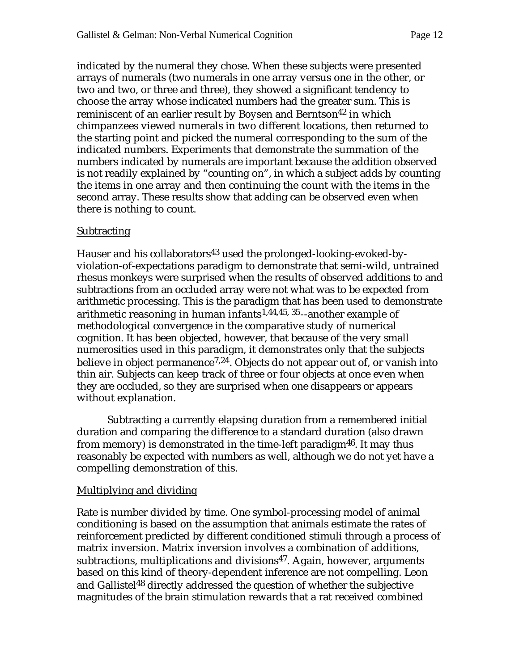indicated by the numeral they chose. When these subjects were presented arrays of numerals (two numerals in one array versus one in the other, or two and two, or three and three), they showed a significant tendency to choose the array whose indicated numbers had the greater sum. This is reminiscent of an earlier result by Boysen and Berntson<sup>42</sup> in which chimpanzees viewed numerals in two different locations, then returned to the starting point and picked the numeral corresponding to the sum of the indicated numbers. Experiments that demonstrate the summation of the numbers indicated by numerals are important because the addition observed is not readily explained by "counting on", in which a subject adds by counting the items in one array and then continuing the count with the items in the second array. These results show that adding can be observed even when there is nothing to count.

## **Subtracting**

Hauser and his collaborators<sup>43</sup> used the prolonged-looking-evoked-byviolation-of-expectations paradigm to demonstrate that semi-wild, untrained rhesus monkeys were surprised when the results of observed additions to and subtractions from an occluded array were not what was to be expected from arithmetic processing. This is the paradigm that has been used to demonstrate arithmetic reasoning in human infants<sup>1,44,45, 35</sup>--another example of methodological convergence in the comparative study of numerical cognition. It has been objected, however, that because of the very small numerosities used in this paradigm, it demonstrates only that the subjects believe in object permanence<sup>7,24</sup>. Objects do not appear out of, or vanish into thin air. Subjects can keep track of three or four objects at once even when they are occluded, so they are surprised when one disappears or appears without explanation.

Subtracting a currently elapsing duration from a remembered initial duration and comparing the difference to a standard duration (also drawn from memory) is demonstrated in the time-left paradigm<sup>46</sup>. It may thus reasonably be expected with numbers as well, although we do not yet have a compelling demonstration of this.

#### Multiplying and dividing

Rate is number divided by time. One symbol-processing model of animal conditioning is based on the assumption that animals estimate the rates of reinforcement predicted by different conditioned stimuli through a process of matrix inversion. Matrix inversion involves a combination of additions, subtractions, multiplications and divisions<sup>47</sup>. Again, however, arguments based on this kind of theory-dependent inference are not compelling. Leon and Gallistel<sup>48</sup> directly addressed the question of whether the subjective magnitudes of the brain stimulation rewards that a rat received combined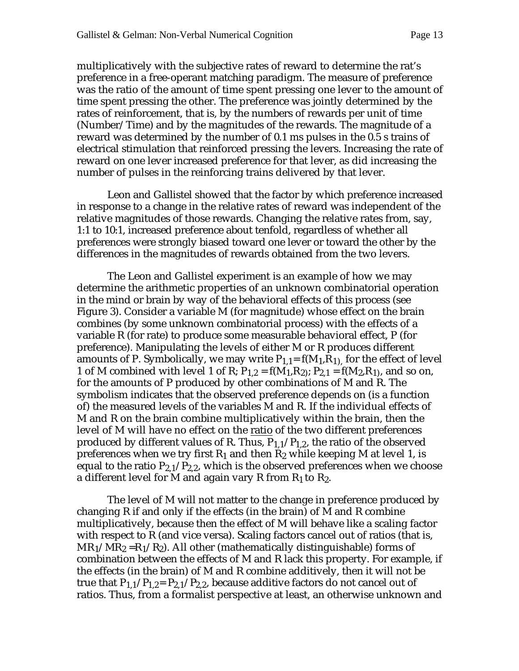multiplicatively with the subjective rates of reward to determine the rat's preference in a free-operant matching paradigm. The measure of preference was the ratio of the amount of time spent pressing one lever to the amount of time spent pressing the other. The preference was jointly determined by the rates of reinforcement, that is, by the numbers of rewards per unit of time (Number/Time) and by the magnitudes of the rewards. The magnitude of a reward was determined by the number of 0.1 ms pulses in the 0.5 s trains of electrical stimulation that reinforced pressing the levers. Increasing the rate of reward on one lever increased preference for that lever, as did increasing the number of pulses in the reinforcing trains delivered by that lever.

Leon and Gallistel showed that the factor by which preference increased in response to a change in the relative rates of reward was independent of the relative magnitudes of those rewards. Changing the relative rates from, say, 1:1 to 10:1, increased preference about tenfold, regardless of whether all preferences were strongly biased toward one lever or toward the other by the differences in the magnitudes of rewards obtained from the two levers.

The Leon and Gallistel experiment is an example of how we may determine the arithmetic properties of an unknown combinatorial operation in the mind or brain by way of the behavioral effects of this process (see Figure 3). Consider a variable M (for magnitude) whose effect on the brain combines (by some unknown combinatorial process) with the effects of a variable R (for rate) to produce some measurable behavioral effect, P (for preference). Manipulating the levels of either M or R produces different amounts of P. Symbolically, we may write  $P_{1,1}= f(M_1,R_1)$  for the effect of level 1 of M combined with level 1 of R;  $P_{1,2} = f(M_1,R_2)$ ;  $P_{2,1} = f(M_2,R_1)$ , and so on, for the amounts of P produced by other combinations of M and R. The symbolism indicates that the observed preference depends on (is a function of) the measured levels of the variables M and R. If the individual effects of M and R on the brain combine multiplicatively within the brain, then the level of M will have no effect on the ratio of the two different preferences produced by different values of R. Thus,  $P_{1,1}/P_{1,2}$ , the ratio of the observed preferences when we try first  $R_1$  and then  $R_2$  while keeping M at level 1, is equal to the ratio  $P_{2,1}/P_{2,2}$ , which is the observed preferences when we choose a different level for M and again vary R from  $R_1$  to  $R_2$ .

The level of M will not matter to the change in preference produced by changing R if and only if the effects (in the brain) of M and R combine multiplicatively, because then the effect of M will behave like a scaling factor with respect to R (and vice versa). Scaling factors cancel out of ratios (that is,  $MR_1/MR_2 = R_1/R_2$ . All other (mathematically distinguishable) forms of combination between the effects of M and R lack this property. For example, if the effects (in the brain) of M and R combine additively, then it will not be true that  $P_{1,1}/P_{1,2}= P_{2,1}/P_{2,2}$ , because additive factors do not cancel out of ratios. Thus, from a formalist perspective at least, an otherwise unknown and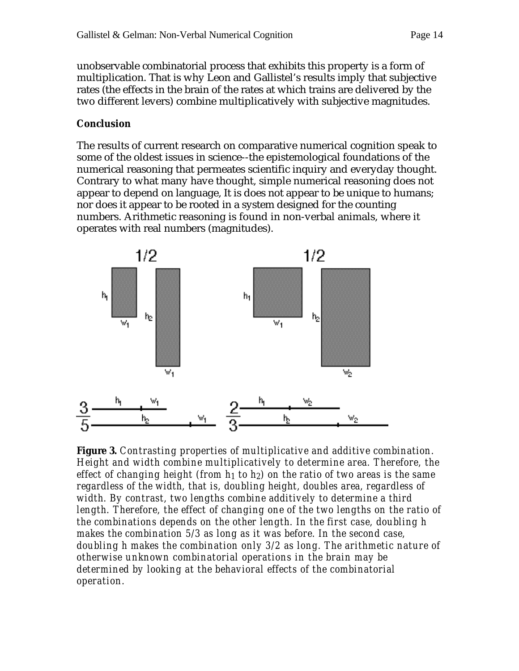unobservable combinatorial process that exhibits this property is a form of multiplication. That is why Leon and Gallistel's results imply that subjective rates (the effects in the brain of the rates at which trains are delivered by the two different levers) combine multiplicatively with subjective magnitudes.

# **Conclusion**

The results of current research on comparative numerical cognition speak to some of the oldest issues in science--the epistemological foundations of the numerical reasoning that permeates scientific inquiry and everyday thought. Contrary to what many have thought, simple numerical reasoning does not appear to depend on language, It is does not appear to be unique to humans; nor does it appear to be rooted in a system designed for the counting numbers. Arithmetic reasoning is found in non-verbal animals, where it operates with real numbers (magnitudes).



**Figure 3.** *Contrasting properties of multiplicative and additive combination. Height and width combine multiplicatively to determine area. Therefore, the effect of changing height (from h1 to h2) on the ratio of two areas is the same regardless of the width, that is, doubling height, doubles area, regardless of width. By contrast, two lengths combine additively to determine a third length. Therefore, the effect of changing one of the two lengths on the ratio of the combinations depends on the other length. In the first case, doubling h makes the combination 5/3 as long as it was before. In the second case, doubling h makes the combination only 3/2 as long. The arithmetic nature of otherwise unknown combinatorial operations in the brain may be determined by looking at the behavioral effects of the combinatorial operation.*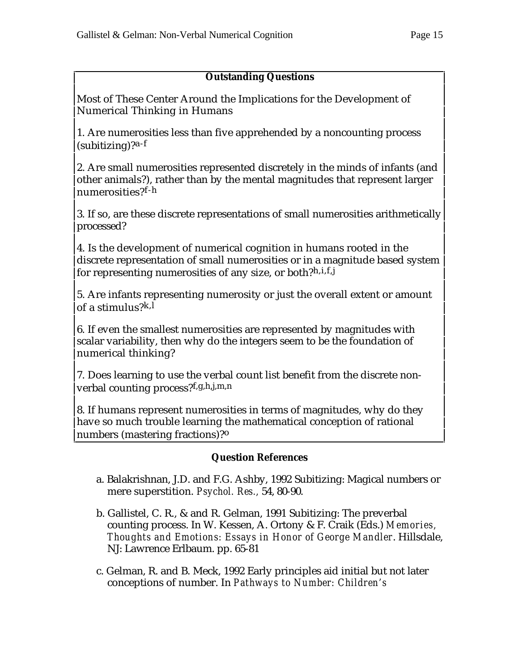# **Outstanding Questions**

Most of These Center Around the Implications for the Development of Numerical Thinking in Humans

1. Are numerosities less than five apprehended by a noncounting process  $(subitizing)$ ?a-f

2. Are small numerosities represented discretely in the minds of infants (and other animals?), rather than by the mental magnitudes that represent larger numerosities?f-h

3. If so, are these discrete representations of small numerosities arithmetically processed?

4. Is the development of numerical cognition in humans rooted in the discrete representation of small numerosities or in a magnitude based system for representing numerosities of any size, or both? $h,i,f,j$ 

5. Are infants representing numerosity or just the overall extent or amount of a stimulus? $k, \overline{l}$ 

6. If even the smallest numerosities are represented by magnitudes with scalar variability, then why do the integers seem to be the foundation of numerical thinking?

7. Does learning to use the verbal count list benefit from the discrete nonverbal counting process?f,g,h,j,m,n

8. If humans represent numerosities in terms of magnitudes, why do they have so much trouble learning the mathematical conception of rational numbers (mastering fractions)?o

# **Question References**

- a. Balakrishnan, J.D. and F.G. Ashby, 1992 Subitizing: Magical numbers or mere superstition. *Psychol. Res.,* 54, 80-90.
- b. Gallistel, C. R., & and R. Gelman, 1991 Subitizing: The preverbal counting process. In W. Kessen, A. Ortony & F. Craik (Eds.) *Memories, Thoughts and Emotions: Essays in Honor of George Mandler*. Hillsdale, NJ: Lawrence Erlbaum. pp. 65-81
- c. Gelman, R. and B. Meck, 1992 Early principles aid initial but not later conceptions of number. In *Pathways to Number: Children's*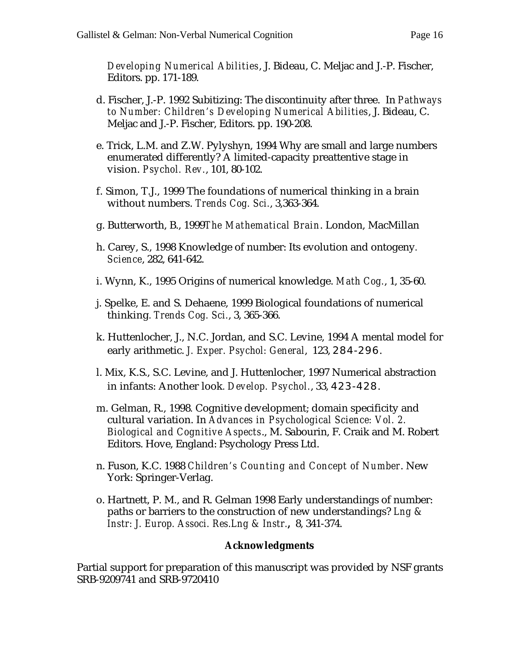*Developing Numerical Abilities*, J. Bideau, C. Meljac and J.-P. Fischer, Editors. pp. 171-189.

- d. Fischer, J.-P. 1992 Subitizing: The discontinuity after three. In *Pathways to Number: Children's Developing Numerical Abilities*, J. Bideau, C. Meljac and J.-P. Fischer, Editors. pp. 190-208.
- e. Trick, L.M. and Z.W. Pylyshyn, 1994 Why are small and large numbers enumerated differently? A limited-capacity preattentive stage in vision. *Psychol. Rev.*, 101, 80-102.
- f. Simon, T.J., 1999 The foundations of numerical thinking in a brain without numbers. *Trends Cog. Sci.*, 3,363-364.
- g. Butterworth, B., 1999*The Mathematical Brain*. London, MacMillan
- h. Carey, S., 1998 Knowledge of number: Its evolution and ontogeny*. Science*, 282, 641-642.
- i. Wynn, K., 1995 Origins of numerical knowledge. *Math Cog.*, 1, 35-60.
- j. Spelke, E. and S. Dehaene, 1999 Biological foundations of numerical thinking*. Trends Cog. Sci.*, 3, 365-366.
- k. Huttenlocher, J., N.C. Jordan, and S.C. Levine, 1994 A mental model for early arithmetic. *J. Exper. Psychol: General*, 123, 284-296.
- l. Mix, K.S., S.C. Levine, and J. Huttenlocher, 1997 Numerical abstraction in infants: Another look*. Develop. Psychol.*, 33, 423-428.
- m. Gelman, R., 1998*.* Cognitive development; domain specificity and cultural variation. In *Advances in Psychological Science: Vol. 2. Biological and Cognitive Aspects*., M. Sabourin, F. Craik and M. Robert Editors. Hove, England: Psychology Press Ltd.
- n. Fuson, K.C. 1988 *Children's Counting and Concept of Number*. New York: Springer-Verlag.
- o. Hartnett, P. M., and R. Gelman 1998 Early understandings of number: paths or barriers to the construction of new understandings? *Lng & Instr: J. Europ. Associ. Res.Lng & Instr.***,** 8, 341-374.

## **Acknowledgments**

Partial support for preparation of this manuscript was provided by NSF grants SRB-9209741 and SRB-9720410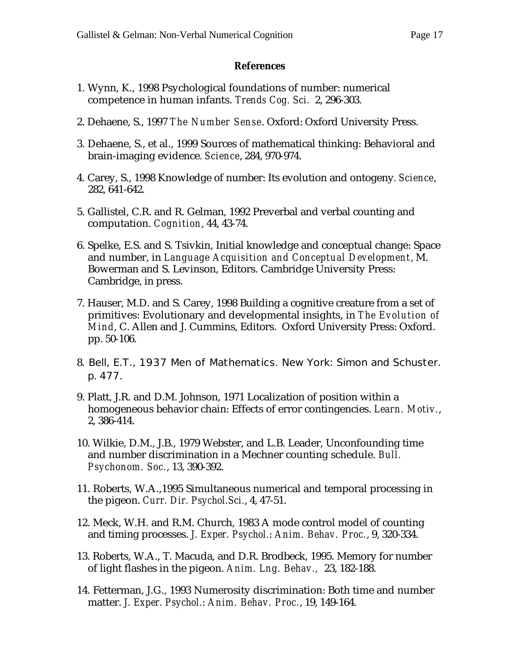#### **References**

- 1. Wynn, K., 1998 Psychological foundations of number: numerical competence in human infants. *Trends Cog. Sci.* 2, 296-303.
- 2. Dehaene, S., 1997 *The Number Sense*. Oxford: Oxford University Press.
- 3. Dehaene, S., et al., 1999 Sources of mathematical thinking: Behavioral and brain-imaging evidence*. Science*, 284, 970-974.
- 4. Carey, S., 1998 Knowledge of number: Its evolution and ontogeny*. Science*, 282, 641-642.
- 5. Gallistel, C.R. and R. Gelman, 1992 Preverbal and verbal counting and computation. *Cognition*, 44, 43-74.
- 6. Spelke, E.S. and S. Tsivkin, Initial knowledge and conceptual change: Space and number, in *Language Acquisition and Conceptual Development*, M. Bowerman and S. Levinson, Editors. Cambridge University Press: Cambridge, in press.
- 7. Hauser, M.D. and S. Carey, 1998 Building a cognitive creature from a set of primitives: Evolutionary and developmental insights, in *The Evolution of Mind*, C. Allen and J. Cummins, Editors. Oxford University Press: Oxford. pp. 50-106.
- 8. Bell, E.T., 1937 Men of Mathematics. New York: Simon and Schuster. p. 477.
- 9. Platt, J.R. and D.M. Johnson, 1971 Localization of position within a homogeneous behavior chain: Effects of error contingencies. *Learn. Motiv.*, 2, 386-414.
- 10. Wilkie, D.M., J.B., 1979 Webster, and L.B. Leader, Unconfounding time and number discrimination in a Mechner counting schedule. *Bull. Psychonom. Soc.*, 13, 390-392.
- 11. Roberts, W.A.,1995 Simultaneous numerical and temporal processing in the pigeon. *Curr. Dir. Psychol.Sci.*, 4, 47-51.
- 12. Meck, W.H. and R.M. Church, 1983 A mode control model of counting and timing processes. *J. Exper. Psychol.*: *Anim. Behav. Proc.*, 9, 320-334.
- 13. Roberts, W.A., T. Macuda, and D.R. Brodbeck, 1995. Memory for number of light flashes in the pigeon. *Anim. Lng. Behav.,* 23, 182-188.
- 14. Fetterman, J.G., 1993 Numerosity discrimination: Both time and number matter. *J. Exper. Psychol.*: *Anim. Behav. Proc.*, 19, 149-164.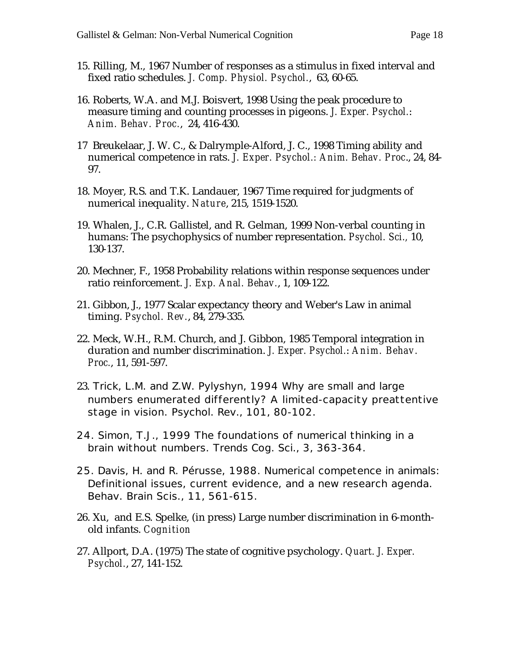- 15. Rilling, M., 1967 Number of responses as a stimulus in fixed interval and fixed ratio schedules. *J. Comp. Physiol. Psychol.*, 63, 60-65.
- 16. Roberts, W.A. and M.J. Boisvert, 1998 Using the peak procedure to measure timing and counting processes in pigeons. *J. Exper. Psychol.*: *Anim. Behav. Proc.*, 24, 416-430.
- 17 Breukelaar, J. W. C., & Dalrymple-Alford, J. C., 1998 Timing ability and numerical competence in rats. *J. Exper. Psychol.: Anim. Behav. Proc*., 24, 84- 97.
- 18. Moyer, R.S. and T.K. Landauer, 1967 Time required for judgments of numerical inequality. *Nature*, 215, 1519-1520.
- 19. Whalen, J., C.R. Gallistel, and R. Gelman, 1999 Non-verbal counting in humans: The psychophysics of number representation. *Psychol. Sci.,* 10, 130-137.
- 20. Mechner, F., 1958 Probability relations within response sequences under ratio reinforcement. *J. Exp. Anal. Behav.*, 1, 109-122.
- 21. Gibbon, J., 1977 Scalar expectancy theory and Weber's Law in animal timing. *Psychol. Rev.*, 84, 279-335.
- 22. Meck, W.H., R.M. Church, and J. Gibbon, 1985 Temporal integration in duration and number discrimination. *J. Exper. Psychol.*: *Anim. Behav. Proc.*, 11, 591-597.
- 23. Trick, L.M. and Z.W. Pylyshyn, 1994 Why are small and large numbers enumerated differently? A limited-capacity preattentive stage in vision. Psychol. Rev., 101, 80-102.
- 24. Simon, T.J., 1999 The foundations of numerical thinking in a brain without numbers. Trends Cog. Sci., 3, 363-364.
- 25. Davis, H. and R. Pérusse, 1988. Numerical competence in animals: Definitional issues, current evidence, and a new research agenda. Behav. Brain Scis., 11, 561-615.
- 26. Xu, and E.S. Spelke, (in press) Large number discrimination in 6-monthold infants. *Cognition*
- 27. Allport, D.A. (1975) The state of cognitive psychology. *Quart. J. Exper. Psychol.*, 27, 141-152.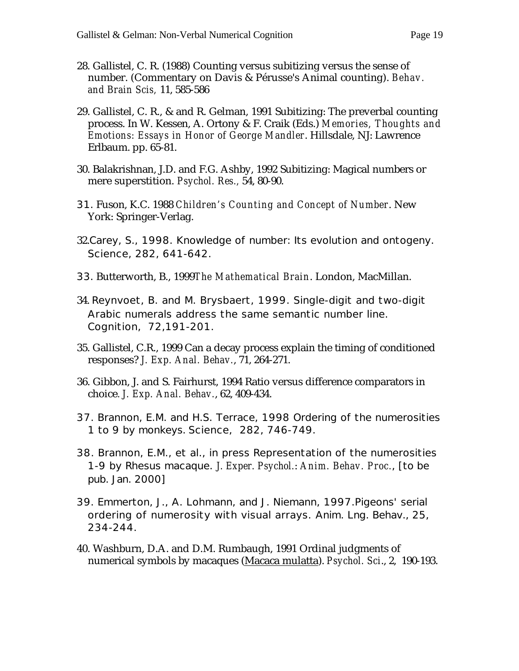- 28. Gallistel, C. R. (1988) Counting versus subitizing versus the sense of number. (Commentary on Davis & Pérusse's Animal counting). *Behav. and Brain Scis,* 11, 585-586
- 29. Gallistel, C. R., & and R. Gelman, 1991 Subitizing: The preverbal counting process. In W. Kessen, A. Ortony & F. Craik (Eds.) *Memories, Thoughts and Emotions: Essays in Honor of George Mandler*. Hillsdale, NJ: Lawrence Erlbaum. pp. 65-81.
- 30. Balakrishnan, J.D. and F.G. Ashby, 1992 Subitizing: Magical numbers or mere superstition. *Psychol. Res.,* 54, 80-90.
- 31. Fuson, K.C. 1988 *Children's Counting and Concept of Number*. New York: Springer-Verlag.
- 32.Carey, S., 1998. Knowledge of number: Its evolution and ontogeny. Science, 282, 641-642.
- 33. Butterworth, B., 1999*The Mathematical Brain*. London, MacMillan.
- 34. Reynvoet, B. and M. Brysbaert, 1999. Single-digit and two-digit Arabic numerals address the same semantic number line. Cognition, 72,191-201.
- 35. Gallistel, C.R., 1999 Can a decay process explain the timing of conditioned responses? *J. Exp. Anal. Behav.*, 71, 264-271.
- 36. Gibbon, J. and S. Fairhurst, 1994 Ratio versus difference comparators in choice*. J. Exp. Anal. Behav.*, 62, 409-434.
- 37. Brannon, E.M. and H.S. Terrace, 1998 Ordering of the numerosities 1 to 9 by monkeys. Science, 282, 746-749.
- 38. Brannon, E.M., et al., in press Representation of the numerosities 1-9 by Rhesus macaque. *J. Exper. Psychol.*: *Anim. Behav. Proc.*, [to be pub. Jan. 2000]
- 39. Emmerton, J., A. Lohmann, and J. Niemann, 1997.Pigeons' serial ordering of numerosity with visual arrays. Anim. Lng. Behav., 25, 234-244.
- 40. Washburn, D.A. and D.M. Rumbaugh, 1991 Ordinal judgments of numerical symbols by macaques (Macaca mulatta). *Psychol. Sci*., 2, 190-193.